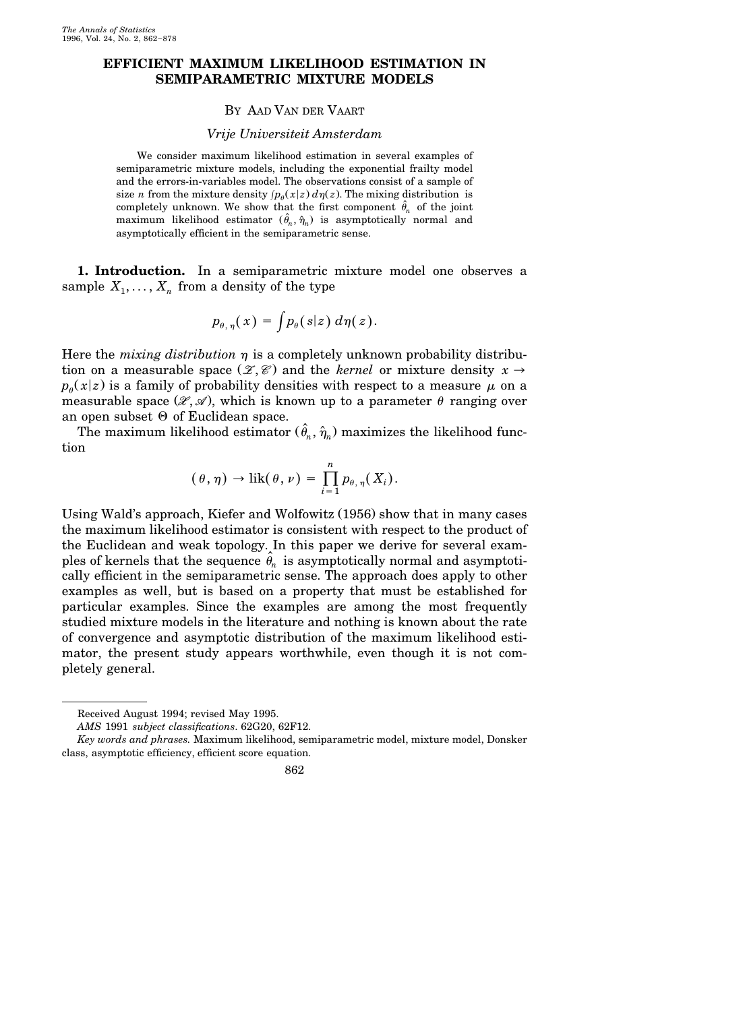## **EFFICIENT MAXIMUM LIKELIHOOD ESTIMATION IN SEMIPARAMETRIC MIXTURE MODELS**

## BY AAD VAN DER VAART

## *Vrije Universiteit Amsterdam*

We consider maximum likelihood estimation in several examples of semiparametric mixture models, including the exponential frailty model and the errors-in-variables model. The observations consist of a sample of size *n* from the mixture density  $p_{\theta}(x|z) d\eta(z)$ . The mixing distribution is completely unknown. We show that the first component  $\hat{\theta}_n$  of the joint maximum likelihood estimator  $(\hat{\theta}_n, \hat{\eta}_n)$  is asymptotically normal and asymptotically efficient in the semiparametric sense.

**1. Introduction.** In a semiparametric mixture model one observes a sample  $X_1, \ldots, X_n$  from a density of the type

$$
p_{\theta,\,\eta}(\,x)\,=\,\int\!p_{\theta}(\,s|z)\,\,d\eta(\,z\,).
$$

Here the *mixing distribution*  $\eta$  is a completely unknown probability distribution on a measurable space  $(\mathcal{Z}, \mathcal{C})$  and the *kernel* or mixture density  $x \rightarrow$  $p_{\theta}(x|z)$  is a family of probability densities with respect to a measure  $\mu$  on a measurable space  $(\mathcal{X}, \mathcal{A})$ , which is known up to a parameter  $\theta$  ranging over an open subset  $\Theta$  of Euclidean space.

The maximum likelihood estimator  $(\hat{\theta}_n, \hat{\eta}_n)$  maximizes the likelihood function

$$
(\theta,\eta) \to \mathrm{lik}(\theta,\nu) = \prod_{i=1}^n p_{\theta,\eta}(X_i).
$$

Using Wald's approach, Kiefer and Wolfowitz (1956) show that in many cases the maximum likelihood estimator is consistent with respect to the product of the Euclidean and weak topology. In this paper we derive for several examples of kernels that the sequence  $\hat{\theta}_n$  is asymptotically normal and asymptotically efficient in the semiparametric sense. The approach does apply to other examples as well, but is based on a property that must be established for particular examples. Since the examples are among the most frequently studied mixture models in the literature and nothing is known about the rate of convergence and asymptotic distribution of the maximum likelihood estimator, the present study appears worthwhile, even though it is not completely general.

Received August 1994; revised May 1995.

*AMS* 1991 *subject classifications*. 62G20, 62F12.

*Key words and phrases.* Maximum likelihood, semiparametric model, mixture model, Donsker class, asymptotic efficiency, efficient score equation.

<sup>862</sup>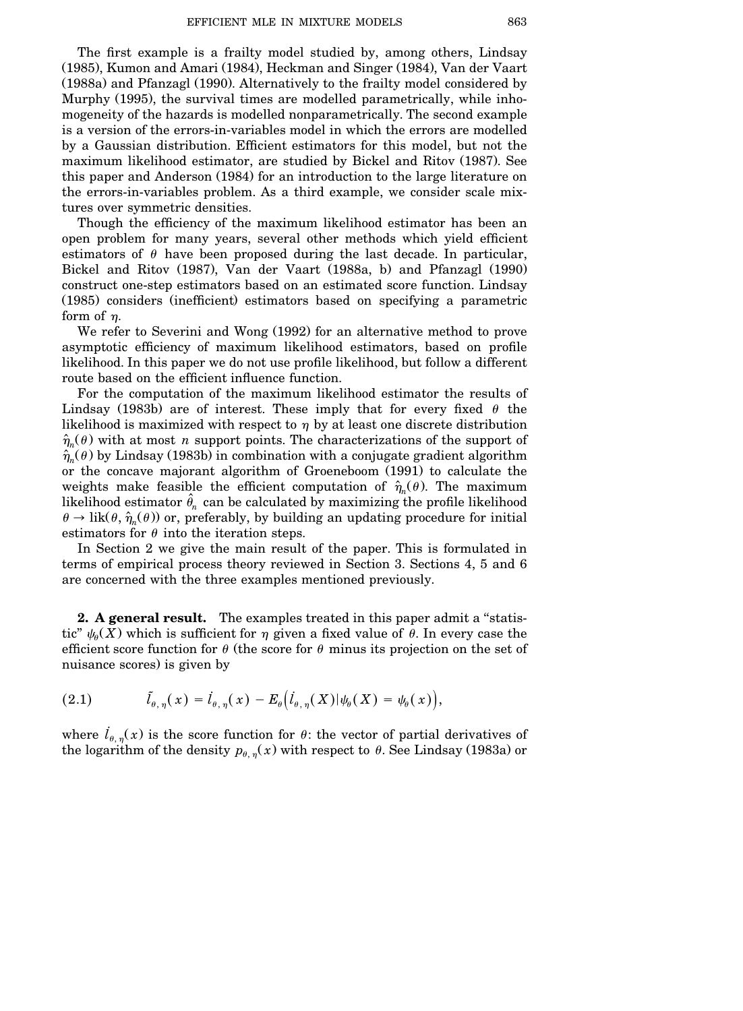The first example is a frailty model studied by, among others, Lindsay (1985), Kumon and Amari (1984), Heckman and Singer (1984), Van der Vaart  $(1988a)$  and Pfanzagl  $(1990)$ . Alternatively to the frailty model considered by Murphy (1995), the survival times are modelled parametrically, while inhomogeneity of the hazards is modelled nonparametrically. The second example is a version of the errors-in-variables model in which the errors are modelled by a Gaussian distribution. Efficient estimators for this model, but not the maximum likelihood estimator, are studied by Bickel and Ritov (1987). See this paper and Anderson (1984) for an introduction to the large literature on the errors-in-variables problem. As a third example, we consider scale mixtures over symmetric densities.

Though the efficiency of the maximum likelihood estimator has been an open problem for many years, several other methods which yield efficient estimators of  $\theta$  have been proposed during the last decade. In particular, Bickel and Ritov (1987), Van der Vaart (1988a, b) and Pfanzagl (1990) construct one-step estimators based on an estimated score function. Lindsay (1985) considers (inefficient) estimators based on specifying a parametric form of  $n$ .

We refer to Severini and Wong (1992) for an alternative method to prove asymptotic efficiency of maximum likelihood estimators, based on profile likelihood. In this paper we do not use profile likelihood, but follow a different route based on the efficient influence function.

For the computation of the maximum likelihood estimator the results of Lindsay (1983b) are of interest. These imply that for every fixed  $\theta$  the likelihood is maximized with respect to  $\eta$  by at least one discrete distribution  $\hat{\eta}_n(\theta)$  with at most *n* support points. The characterizations of the support of  $\hat{\eta}_n(\theta)$  by Lindsay (1983b) in combination with a conjugate gradient algorithm or the concave majorant algorithm of Groeneboom (1991) to calculate the weights make feasible the efficient computation of  $\hat{\eta}_n(\theta)$ . The maximum likelihood estimator  $\hat{\theta}_n$  can be calculated by maximizing the profile likelihood  $\theta \rightarrow \mathrm{lik}(\theta, \hat{\eta}_n(\theta))$  or, preferably, by building an updating procedure for initial estimators for  $\theta$  into the iteration steps.

In Section 2 we give the main result of the paper. This is formulated in terms of empirical process theory reviewed in Section 3. Sections 4, 5 and 6 are concerned with the three examples mentioned previously.

**2. A general result.** The examples treated in this paper admit a ''statistic"  $\psi_{\theta}(X)$  which is sufficient for  $\eta$  given a fixed value of  $\theta$ . In every case the efficient score function for  $\theta$  (the score for  $\theta$  minus its projection on the set of nuisance scores) is given by

(2.1) 
$$
\tilde{l}_{\theta,\eta}(x) = \dot{l}_{\theta,\eta}(x) - E_{\theta}(\dot{l}_{\theta,\eta}(X)|\psi_{\theta}(X) = \psi_{\theta}(x)),
$$

where  $l_{\theta,\eta}(x)$  is the score function for  $\theta$ : the vector of partial derivatives of the logarithm of the density  $p_{\theta,\eta}(x)$  with respect to  $\theta$ . See Lindsay (1983a) or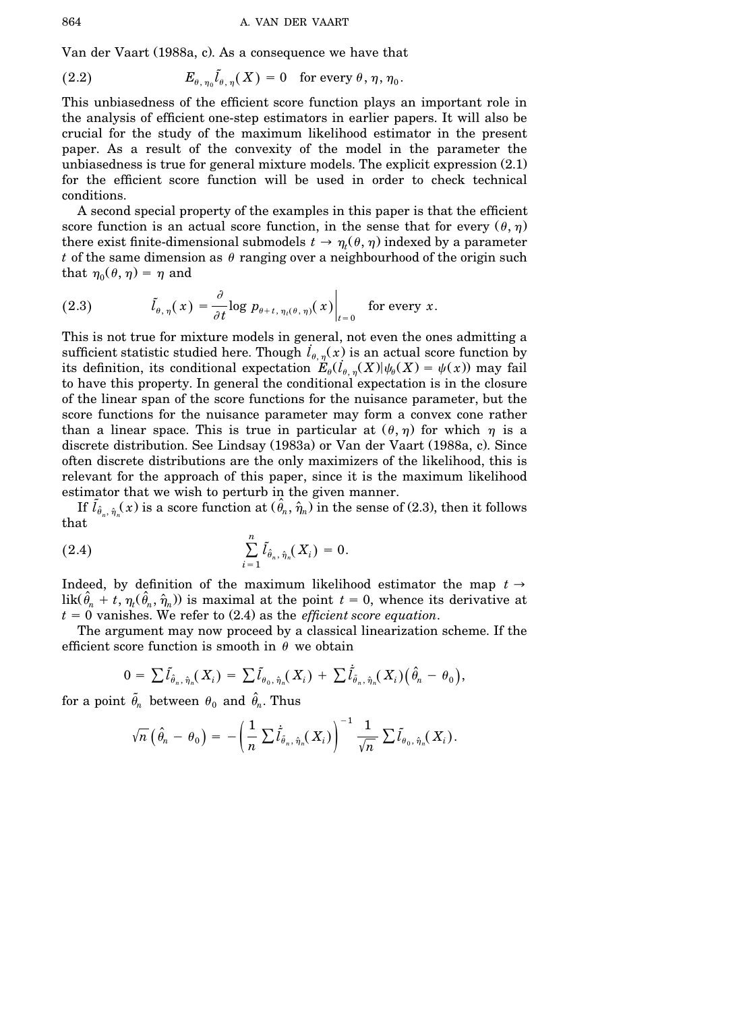Van der Vaart (1988a, c). As a consequence we have that

(2.2) 
$$
E_{\theta,\eta_0}\tilde{l}_{\theta,\eta}(X) = 0 \text{ for every } \theta, \eta, \eta_0.
$$

This unbiasedness of the efficient score function plays an important role in the analysis of efficient one-step estimators in earlier papers. It will also be crucial for the study of the maximum likelihood estimator in the present paper. As a result of the convexity of the model in the parameter the unbiasedness is true for general mixture models. The explicit expression  $(2.1)$ . for the efficient score function will be used in order to check technical conditions.

A second special property of the examples in this paper is that the efficient score function is an actual score function, in the sense that for every  $(\theta, \eta)$ . there exist finite-dimensional submodels  $t \to \eta_t(\theta, \eta)$  indexed by a parameter *t* of the same dimension as  $\theta$  ranging over a neighbourhood of the origin such that  $\eta_0(\theta, \eta) = \eta$  and

(2.3) 
$$
\tilde{l}_{\theta,\eta}(x) = \frac{\partial}{\partial t} \log p_{\theta+t,\eta_t(\theta,\eta)}(x) \Big|_{t=0} \quad \text{for every } x.
$$

This is not true for mixture models in general, not even the ones admitting a sufficient statistic studied here. Though  $\hat{l}_{\theta,\,\pi}^{\,}(\vec{x})$  is an actual score function by its definition, its conditional expectation  $E_{\theta}(\dot{l}_{\theta,\eta}(X)|\psi_{\theta}(X) = \psi(x))$  may fail to have this property. In general the conditional expectation is in the closure of the linear span of the score functions for the nuisance parameter, but the score functions for the nuisance parameter may form a convex cone rather than a linear space. This is true in particular at  $(\theta, \eta)$  for which  $\eta$  is a discrete distribution. See Lindsay (1983a) or Van der Vaart (1988a, c). Since often discrete distributions are the only maximizers of the likelihood, this is relevant for the approach of this paper, since it is the maximum likelihood estimator that we wish to perturb in the given manner.

If  $\tilde{l}_{\hat{\theta}_n,\hat{\eta}_n}(x)$  is a score function at  $(\hat{\theta}_n,\hat{\eta}_n)$  in the sense of (2.3), then it follows that

(2.4) 
$$
\sum_{i=1}^{n} \tilde{l}_{\hat{\theta}_n, \hat{\eta}_n}(X_i) = 0.
$$

Indeed, by definition of the maximum likelihood estimator the map  $t \rightarrow$ lik $(\hat{\theta}_n + t, \eta_t(\hat{\theta}_n, \hat{\eta}_n))$  is maximal at the point  $t = 0$ , whence its derivative at  $t = 0$  vanishes. We refer to  $(2.4)$  as the *efficient score equation*.

The argument may now proceed by a classical linearization scheme. If the efficient score function is smooth in  $\theta$  we obtain

$$
0 = \sum \tilde{l}_{\hat{\theta}_n, \hat{\eta}_n}(X_i) = \sum \tilde{l}_{\theta_0, \hat{\eta}_n}(X_i) + \sum \tilde{l}_{\tilde{\theta}_n, \hat{\eta}_n}(X_i) (\hat{\theta}_n - \theta_0),
$$

for a point  $\theta_n$  between  $\theta_0$  and  $\hat{\theta}_n$ . Thus

$$
\sqrt{n}\left(\hat{\theta}_n-\theta_0\right)=-\left(\frac{1}{n}\sum\dot{\tilde{I}}_{\tilde{\theta}_n,\hat{\eta}_n}(X_i)\right)^{-1}\frac{1}{\sqrt{n}}\sum\tilde{I}_{\theta_0,\hat{\eta}_n}(X_i).
$$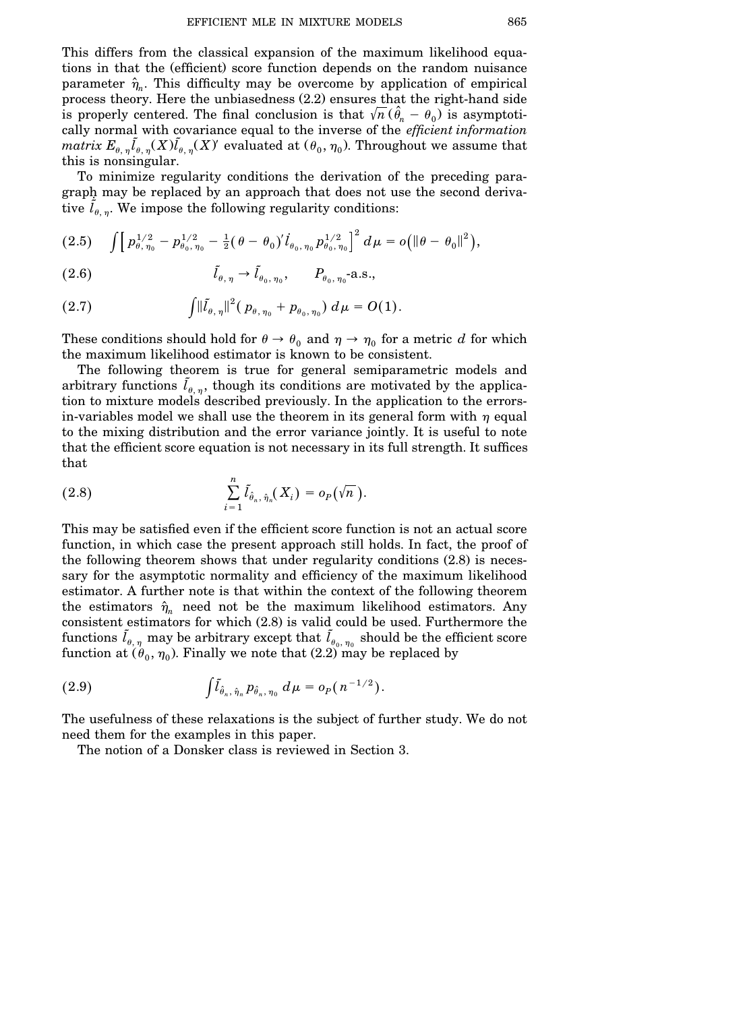This differs from the classical expansion of the maximum likelihood equations in that the (efficient) score function depends on the random nuisance parameter  $\hat{\eta}_n$ . This difficulty may be overcome by application of empirical process theory. Here the unbiasedness  $(2.2)$  ensures that the right-hand side is properly centered. The final conclusion is that  $\sqrt{n}$  ( $\hat{\theta}_n - \theta_0$ ) is asymptotically normal with covariance equal to the inverse of the *efficient information*  $matrix E_{\theta, \eta} \tilde{l}_{\theta, \eta}(X) \tilde{l}_{\theta, \eta}(X)$  evaluated at  $(\theta_0, \eta_0)$ . Throughout we assume that this is nonsingular.

To minimize regularity conditions the derivation of the preceding paragraph may be replaced by an approach that does not use the second derivative  $\tilde{l}_{\theta,\eta}$ . We impose the following regularity conditions:

$$
(2.5) \quad \int \Big[ p_{\theta,\eta_0}^{1/2} - p_{\theta_0,\eta_0}^{1/2} - \tfrac{1}{2} (\theta - \theta_0)' \dot{I}_{\theta_0,\eta_0} p_{\theta_0,\eta_0}^{1/2} \Big]^2 d\mu = o \big( \|\theta - \theta_0\|^2 \big),
$$

(2.6) 
$$
\tilde{l}_{\theta,\eta} \to \tilde{l}_{\theta_0,\eta_0}, \qquad P_{\theta_0,\eta_0} \text{-a.s.,}
$$

(2.7) 
$$
\int \lVert \tilde{l}_{\theta,\,\eta} \rVert^2 (p_{\theta,\,\eta_0} + p_{\theta_0,\,\eta_0}) d\mu = O(1).
$$

These conditions should hold for  $\theta \to \theta_0$  and  $\eta \to \eta_0$  for a metric *d* for which the maximum likelihood estimator is known to be consistent.

The following theorem is true for general semiparametric models and arbitrary functions  $\tilde{l}_{\theta,\eta}$ , though its conditions are motivated by the application to mixture models described previously. In the application to the errorsin-variables model we shall use the theorem in its general form with  $\eta$  equal to the mixing distribution and the error variance jointly. It is useful to note that the efficient score equation is not necessary in its full strength. It suffices that

(2.8) 
$$
\sum_{i=1}^n \tilde{l}_{\hat{\theta}_n, \hat{\eta}_n}(X_i) = o_P(\sqrt{n}).
$$

This may be satisfied even if the efficient score function is not an actual score function, in which case the present approach still holds. In fact, the proof of the following theorem shows that under regularity conditions  $(2.8)$  is necessary for the asymptotic normality and efficiency of the maximum likelihood estimator. A further note is that within the context of the following theorem the estimators  $\hat{\eta}_n$  need not be the maximum likelihood estimators. Any consistent estimators for which  $(2.8)$  is valid could be used. Furthermore the  $\tilde{l}_{\theta,\eta}$  may be arbitrary except that  $\tilde{l}_{\theta_0,\eta_0}$  should be the efficient score function at  $(\theta_0, \eta_0)$ . Finally we note that (2.2) may be replaced by

(2.9) 
$$
\int \tilde{l}_{\hat{\theta}_n, \hat{\eta}_n} p_{\hat{\theta}_n, \eta_0} d\mu = o_P(n^{-1/2}).
$$

The usefulness of these relaxations is the subject of further study. We do not need them for the examples in this paper.

The notion of a Donsker class is reviewed in Section 3.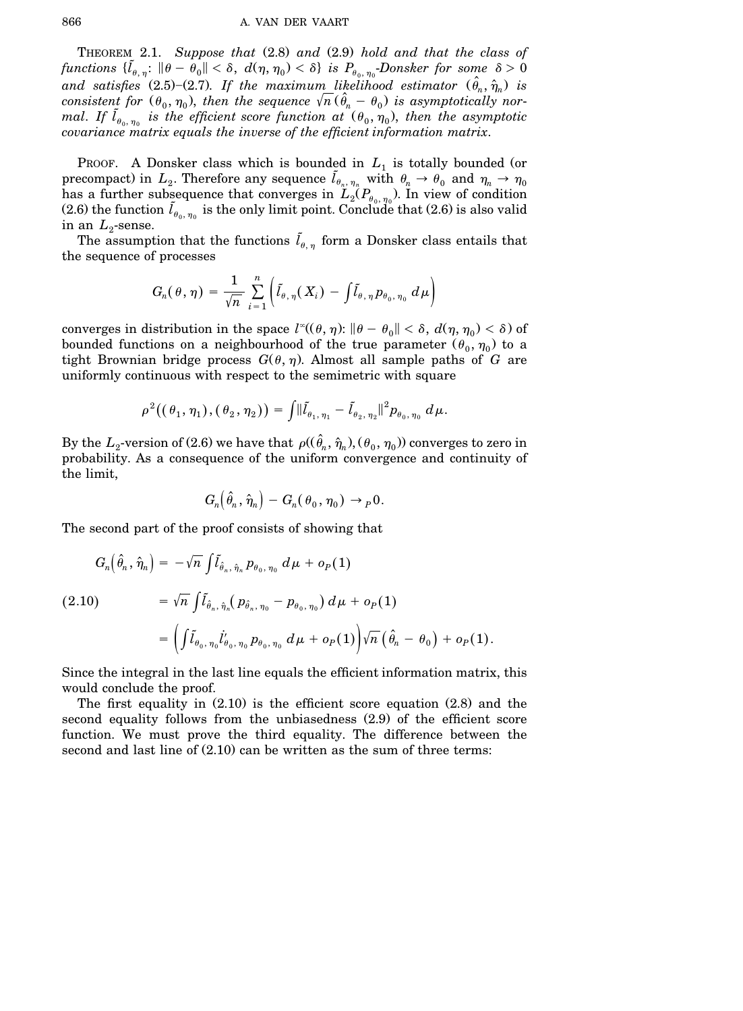THEOREM 2.1. Suppose that  $(2.8)$  and  $(2.9)$  hold and that the class of  $\text{functions } \{ \tilde{l}_{\theta,\,\eta} \colon \|\theta - \theta_0\| < \delta, \ d(\eta,\,\eta_0) < \delta \} \text{ is } P_{\theta_0,\,\eta_0} \text{-Donsker for some } \delta > 0$ and satisfies (2.5)–(2.7). If the maximum likelihood estimator  $(\hat{\theta}_n, \hat{\eta}_n)$  is *consistent for*  $(\theta_0, \eta_0)$ , *then the sequence*  $\sqrt{n} (\hat{\theta}_n - \theta_0)$  *is asymptotically normal.* If  $\tilde{l}_{\theta_0, \eta_0}$  is the efficient score function at  $(\theta_0, \eta_0)$ , then the asymptotic *covariance matrix equals the inverse of the efficient information matrix*.

PROOF. A Donsker class which is bounded in  $L_1$  is totally bounded (or precompact) in  $L_2$ . Therefore any sequence  $\tilde{l}_{\theta_n, \eta_n}$  with  $\theta_n \to \theta_0$  and  $\eta_n \to \eta_0$ has a further subsequence that converges in  $L_2(P_{\theta_0, \eta_0})$ . In view of condition (2.6) the function  $\tilde{l}_{\theta_0, \eta_0}$  is the only limit point. Conclude that (2.6) is also valid in an  $L_2$ -sense.

The assumption that the functions  $\tilde{l}_{\theta,\eta}$  form a Donsker class entails that the sequence of processes

$$
G_n(\theta, \eta) = \frac{1}{\sqrt{n}} \sum_{i=1}^n \left( \tilde{l}_{\theta, \eta}(X_i) - \int \tilde{l}_{\theta, \eta} p_{\theta_0, \eta_0} d\mu \right)
$$

converges in distribution in the space  $l^{\infty}(\theta, \eta)$ :  $\|\theta - \theta_0\| < \delta$ ,  $d(\eta, \eta_0) < \delta$ ) of bounded functions on a neighbourhood of the true parameter  $(\theta_0, \eta_0)$  to a tight Brownian bridge process  $G(\theta, \eta)$ . Almost all sample paths of *G* are uniformly continuous with respect to the semimetric with square

$$
\rho^2((\theta_1,\eta_1),(\theta_2,\eta_2))=\int \lVert \tilde{l}_{\theta_1,\eta_1}-\tilde{l}_{\theta_2,\eta_2} \rVert^2 p_{\theta_0,\eta_0} d\mu.
$$

By the  $L_2$ -version of (2.6) we have that  $\rho((\hat{\theta}_n, \hat{\eta}_n), (\theta_0, \eta_0))$  converges to zero in probability. As a consequence of the uniform convergence and continuity of the limit,

$$
G_n(\hat{\theta}_n,\hat{\eta}_n)-G_n(\theta_0,\eta_0)\to {}_P0.
$$

The second part of the proof consists of showing that

$$
G_n(\hat{\theta}_n, \hat{\eta}_n) = -\sqrt{n} \int \tilde{l}_{\hat{\theta}_n, \hat{\eta}_n} p_{\theta_0, \eta_0} d\mu + o_P(1)
$$
  
(2.10)  

$$
= \sqrt{n} \int \tilde{l}_{\hat{\theta}_n, \hat{\eta}_n} (p_{\hat{\theta}_n, \eta_0} - p_{\theta_0, \eta_0}) d\mu + o_P(1)
$$

$$
= \left( \int \tilde{l}_{\theta_0, \eta_0} l'_{\theta_0, \eta_0} p_{\theta_0, \eta_0} d\mu + o_P(1) \right) \sqrt{n} \left( \hat{\theta}_n - \theta_0 \right) + o_P(1).
$$

Since the integral in the last line equals the efficient information matrix, this would conclude the proof.

The first equality in  $(2.10)$  is the efficient score equation  $(2.8)$  and the second equality follows from the unbiasedness  $(2.9)$  of the efficient score function. We must prove the third equality. The difference between the second and last line of  $(2.10)$  can be written as the sum of three terms: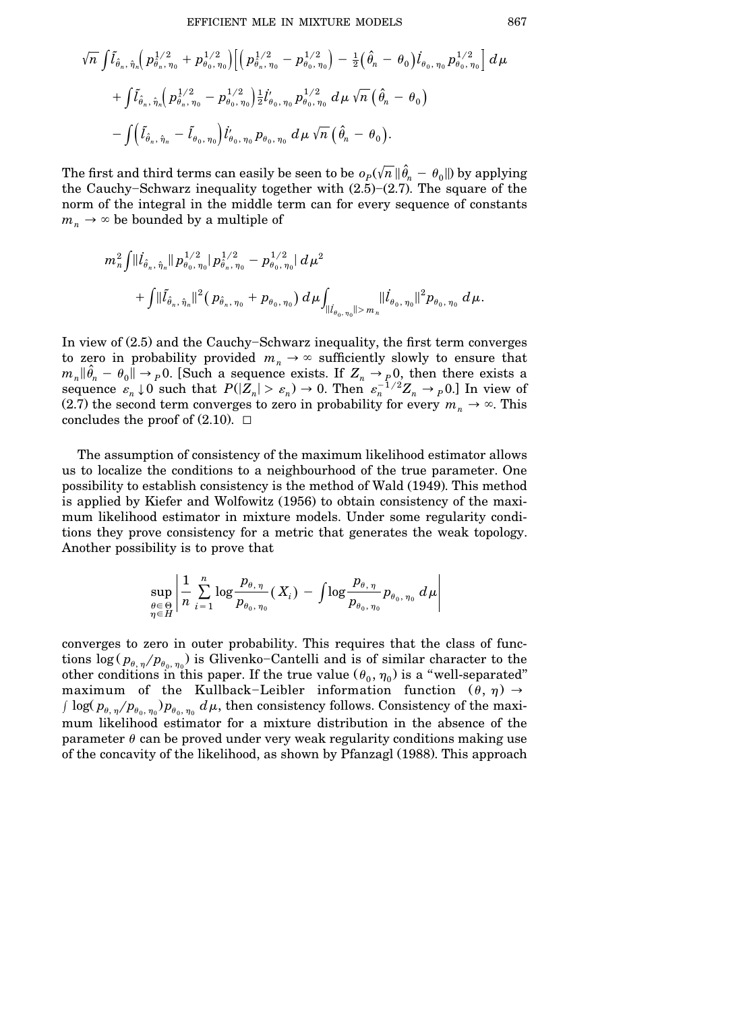$$
\begin{aligned} &\sqrt{n}\,\int& \tilde{l}_{\hat{\theta}_n,\,\hat{\eta}_n}\!\!\left(\,p_{\hat{\theta}_n,\,\hat{\eta}_0}^{\,1/2}+p_{\theta_0,\,\eta_0}^{\,1/2}\right)\!\!\left[\left(\,p_{\hat{\theta}_n,\,\eta_0}^{\,1/2}-p_{\theta_0,\,\eta_0}^{\,1/2}\right)-\tfrac{1}{2}\!\left(\,\hat{\theta}_n\,-\,\theta_0\right)\!\dot{l}_{\theta_0,\,\eta_0}\,p_{\theta_0,\,\eta_0}^{\,1/2}\right]d\mu \\&+\int& \tilde{l}_{\hat{\theta}_n,\,\hat{\eta}_n}\!\!\left(\,p_{\hat{\theta}_n,\,\eta_0}^{\,1/2}-p_{\theta_0,\,\eta_0}^{\,1/2}\right)\!\!\tfrac{1}{2}\dot{l}_{\theta_0,\,\eta_0}'\,p_{\theta_0,\,\eta_0}^{\,1/2}\,d\mu\,\sqrt{n}\left(\,\hat{\theta}_n\,-\,\theta_0\right) \\& -\int& \left(\tilde{l}_{\hat{\theta}_n,\,\hat{\eta}_n}-\tilde{l}_{\theta_0,\,\eta_0}\right)\dot{l}_{\theta_0,\,\eta_0}'\,p_{\theta_0,\,\eta_0}\,d\mu\,\sqrt{n}\left(\,\hat{\theta}_n\,-\,\theta_0\right). \end{aligned}
$$

The first and third terms can easily be seen to be  $o_p(\sqrt{n}\,\|\hat{\theta}_n-\theta_0\|)$  by applying the Cauchy–Schwarz inequality together with  $(2.5)-(2.7)$ . The square of the norm of the integral in the middle term can for every sequence of constants  $m_n \rightarrow \infty$  be bounded by a multiple of

$$
\begin{aligned} &m_n^2\!\int\!\|\dot{l}_{\hat{\theta}_n,\,\hat{\eta}_n}\!\| \,p^{1/2}_{\theta_0,\,\eta_0}\!\!\mid\!p^{1/2}_{\hat{\theta}_n,\,\eta_0}-p^{1/2}_{\theta_0,\,\eta_0}\!\!\mid\!d\,\mu^2\\&+\int\!\|\tilde{l}_{\hat{\theta}_n,\,\hat{\eta}_n}\|^2\big(\,p_{\hat{\theta}_n,\,\eta_0}+p_{\theta_0,\,\eta_0}\big)\,d\,\mu\!\int_{\|\dot{l}_{\theta_0,\,\eta_0}\|\!|>m_n}\!\|\dot{l}_{\theta_0,\,\eta_0}\|^2p_{\theta_0,\,\eta_0}\,d\,\mu. \end{aligned}
$$

In view of  $(2.5)$  and the Cauchy-Schwarz inequality, the first term converges to zero in probability provided  $m_n \to \infty$  sufficiently slowly to ensure that  $m_n \|\hat{\theta}_n - \theta_0\| \to p0$ . [Such a sequence exists. If  $Z_n \to p0$ , then there exists a sequence  $\varepsilon_n \downarrow 0$  such that  $P(|Z_n| > \varepsilon_n) \to 0$ . Then  $\varepsilon_n^{-1/2} Z_n \to p0$ . In view of (2.7) the second term converges to zero in probability for every  $m_n \to \infty$ . This concludes the proof of  $(2.10)$ .  $\Box$ 

The assumption of consistency of the maximum likelihood estimator allows us to localize the conditions to a neighbourhood of the true parameter. One possibility to establish consistency is the method of Wald Ž1949.. This method is applied by Kiefer and Wolfowitz (1956) to obtain consistency of the maximum likelihood estimator in mixture models. Under some regularity conditions they prove consistency for a metric that generates the weak topology. Another possibility is to prove that

$$
\sup_{\substack{\theta \in \Theta \\ \eta \in H}} \left| \frac{1}{n} \sum_{i=1}^n \log \frac{p_{\theta, \eta}}{p_{\theta_0, \eta_0}} (X_i) - \int \log \frac{p_{\theta, \eta}}{p_{\theta_0, \eta_0}} p_{\theta_0, \eta_0} d\mu \right|
$$

converges to zero in outer probability. This requires that the class of functions  $\log (p_{\theta,\eta}/p_{\theta_0,\eta_0})$  is Glivenko-Cantelli and is of similar character to the other conditions in this paper. If the true value  $(\theta_0, \eta_0)$  is a "well-separated" maximum of the Kullback-Leibler information function  $(\theta, \eta) \rightarrow$  $\int \log(\,p_{\theta,\,\eta}/p_{\theta_0,\,\eta_0})p_{\theta_0,\,\eta_0}\,d\mu,$  then consistency follows. Consistency of the maximum likelihood estimator for a mixture distribution in the absence of the parameter  $\theta$  can be proved under very weak regularity conditions making use of the concavity of the likelihood, as shown by Pfanzagl Ž1988.. This approach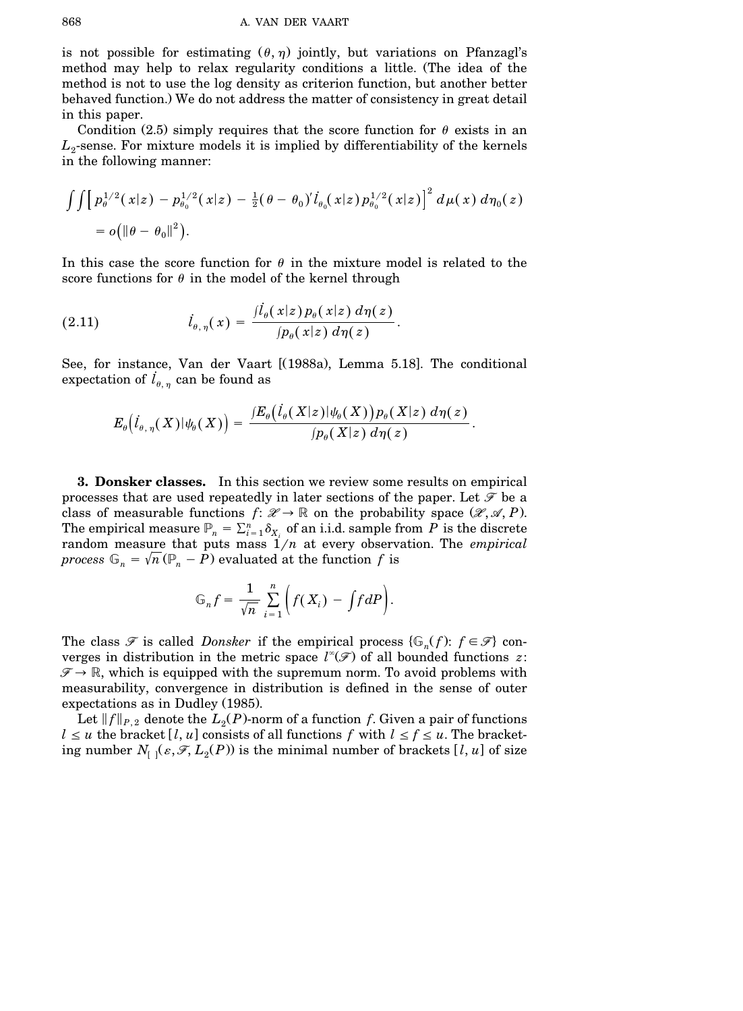is not possible for estimating  $(\theta, \eta)$  jointly, but variations on Pfanzagl's method may help to relax regularity conditions a little. (The idea of the method is not to use the log density as criterion function, but another better behaved function.) We do not address the matter of consistency in great detail in this paper.

Condition (2.5) simply requires that the score function for  $\theta$  exists in an  $L_2$ -sense. For mixture models it is implied by differentiability of the kernels in the following manner:

$$
\int \int \Big[ p_{\theta}^{1/2}(x|z) - p_{\theta_0}^{1/2}(x|z) - \frac{1}{2} (\theta - \theta_0)' \dot{l}_{\theta_0}(x|z) p_{\theta_0}^{1/2}(x|z) \Big]^2 d\mu(x) d\eta_0(z)
$$
  
=  $o(\|\theta - \theta_0\|^2)$ .

In this case the score function for  $\theta$  in the mixture model is related to the score functions for  $\theta$  in the model of the kernel through

(2.11) 
$$
\dot{l}_{\theta,\,\eta}(\,x) = \frac{\dot{J}_{\theta}(\,x|z\,) \, p_{\theta}(\,x|z\,)\, d\eta(\,z\,)}{\int p_{\theta}(\,x|z\,)\, d\eta(\,z)}.
$$

See, for instance, Van der Vaart [(1988a), Lemma 5.18]. The conditional expectation of  $l_{\theta,\eta}$  can be found as

$$
E_{\theta}\big(\dot{I}_{\theta,\,\eta}(\,X\,)\vert\psi_{\theta}(\,X\,)\big)=\,\frac{\mathop{/}\!\!E_{\theta}\big(\dot{I}_{\theta}(\,X\vert z\,)\vert\psi_{\theta}(\,X\vert z\,)\,p_{\theta}(\,X\vert z\,)\,d\eta(\,z\,)}{\mathop{/}\!\!p_{\theta}(\,X\vert z\,)\,d\eta(\,z\,)}\,.
$$

**3. Donsker classes.** In this section we review some results on empirical processes that are used repeatedly in later sections of the paper. Let *F* be a class of measurable functions  $f: \mathcal{X} \to \mathbb{R}$  on the probability space  $(\mathcal{X}, \mathcal{A}, P)$ . The empirical measure  $\mathbb{P}_n = \sum_{i=1}^n \delta_{X_i}$  of an i.i.d. sample from  $P$  is the discrete random measure that puts mass  $\hat{1}/n$  at every observation. The *empirical process*  $\mathbb{G}_n = \sqrt{n} (\mathbb{P}_n - P)$  evaluated at the function f is

$$
\mathbb{G}_n f = \frac{1}{\sqrt{n}} \sum_{i=1}^n \left( f(X_i) - \int f dP \right).
$$

The class  $\mathscr{F}$  is called *Donsker* if the empirical process  $\{\mathbb{G}_n(f)\colon f \in \mathscr{F}\}\$  converges in distribution in the metric space  $l^*(\mathcal{F})$  of all bounded functions *z*:  $\mathscr{F} \to \mathbb{R}$ , which is equipped with the supremum norm. To avoid problems with measurability, convergence in distribution is defined in the sense of outer expectations as in Dudley (1985).

Let  $||f||_{P,2}$  denote the  $L_2(P)$ -norm of a function *f*. Given a pair of functions  $l \leq u$  the bracket [*l*, *u*] consists of all functions *f* with  $l \leq f \leq u$ . The bracketing number  $N_{[-]}(\varepsilon, \mathscr{F}, L_2(P))$  is the minimal number of brackets  $[l, u]$  of size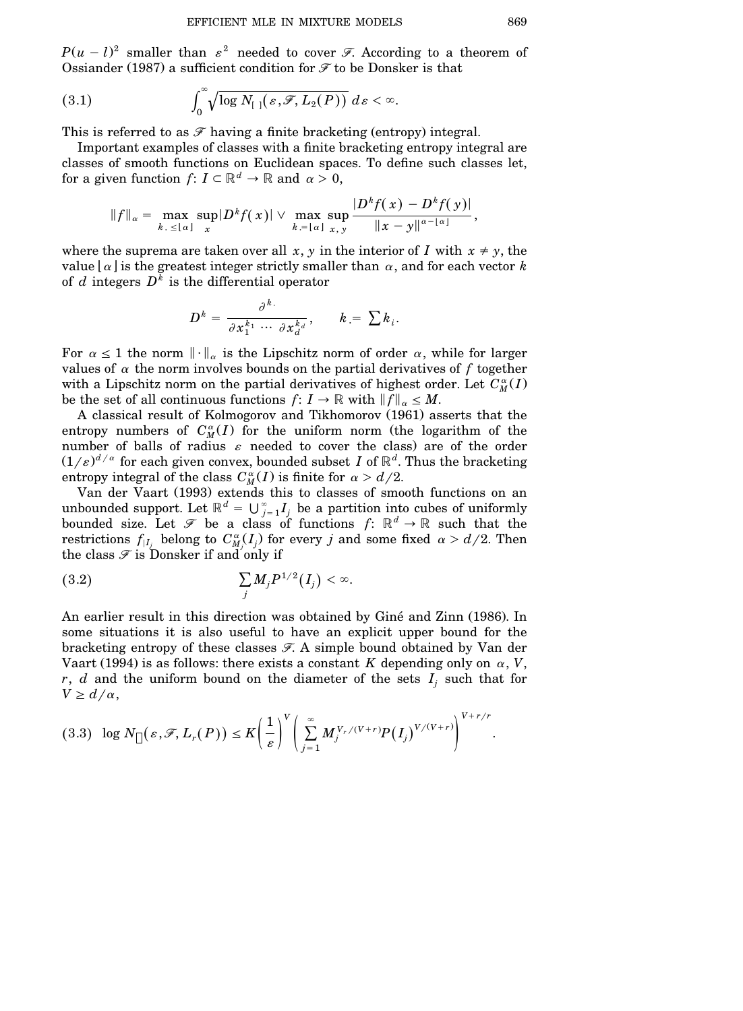$P(u - l)^2$  smaller than  $\varepsilon^2$  needed to cover *F*. According to a theorem of Ossiander (1987) a sufficient condition for  $\mathcal F$  to be Donsker is that

(3.1) 
$$
\int_0^\infty \sqrt{\log N_{[1]}(\varepsilon,\mathscr{F},L_2(P))} \, d\varepsilon < \infty.
$$

This is referred to as  $\mathcal F$  having a finite bracketing (entropy) integral.

Important examples of classes with a finite bracketing entropy integral are classes of smooth functions on Euclidean spaces. To define such classes let, for a given function  $f: I \subset \mathbb{R}^d \to \mathbb{R}$  and  $\alpha > 0$ ,

$$
||f||_{\alpha} = \max_{k, \leq |\alpha|} \sup_{x} |D^{k} f(x)| \vee \max_{k, = |\alpha|} \sup_{x, y} \frac{|D^{k} f(x) - D^{k} f(y)|}{||x - y||^{\alpha - |\alpha|}},
$$

where the suprema are taken over all x, y in the interior of *I* with  $x \neq y$ , the value  $| \alpha |$  is the greatest integer strictly smaller than  $\alpha$ , and for each vector *k* of *d* integers *D k* is the differential operator

$$
D^k = \frac{\partial^k}{\partial x_1^{k_1} \cdots \partial x_d^{k_d}}, \qquad k = \sum k_i.
$$

For  $\alpha \leq 1$  the norm  $\|\cdot\|_{\alpha}$  is the Lipschitz norm of order  $\alpha$ , while for larger values of  $\alpha$  the norm involves bounds on the partial derivatives of  $f$  together with a Lipschitz norm on the partial derivatives of highest order. Let  $C_M^{\alpha}(I)$ be the set of all continuous functions  $f: I \to \mathbb{R}$  with  $||f||_{\alpha} \leq M$ .

A classical result of Kolmogorov and Tikhomorov (1961) asserts that the entropy numbers of  $C_M^{\alpha}(I)$  for the uniform norm (the logarithm of the number of balls of radius  $\varepsilon$  needed to cover the class) are of the order  $(1/\varepsilon)^{d/\alpha}$  for each given convex, bounded subset  $I$  of  $\mathbb{R}^d.$  Thus the bracketing entropy integral of the class  $C_M^{\alpha}(I)$  is finite for  $\alpha > d/2$ .

Van der Vaart (1993) extends this to classes of smooth functions on an unbounded support. Let  $\mathbb{R}^d = \bigcup_{j=1}^{\infty} I_j$  be a partition into cubes of uniformly bounded size. Let  $\mathscr{F}$  be a class of functions  $f: \mathbb{R}^d \to \mathbb{R}$  such that the restrictions  $f_{|I_j}$  belong to  $C^{\alpha}_{M_j}(I_j)$  for every *j* and some fixed  $\alpha > d/2$ . Then the class  $\mathcal F$  is Donsker if and only if

$$
\sum_j M_j P^{1/2}(I_j) < \infty.
$$

An earlier result in this direction was obtained by Giné and Zinn (1986). In some situations it is also useful to have an explicit upper bound for the bracketing entropy of these classes *F*. A simple bound obtained by Van der Vaart (1994) is as follows: there exists a constant *K* depending only on  $\alpha$ , *V*, *r*, *d* and the uniform bound on the diameter of the sets  $I_i$  such that for  $V \ge d/\alpha$ ,

$$
(3.3) \ \log N_{\Box}(\varepsilon,\mathscr{F},L_r(P)) \leq K \bigg(\frac{1}{\varepsilon}\bigg)^V \bigg(\sum_{j=1}^{\infty} M_j^{V_r/(V+r)} P(I_j)^{V/(V+r)}\bigg)^{V+r/r}.
$$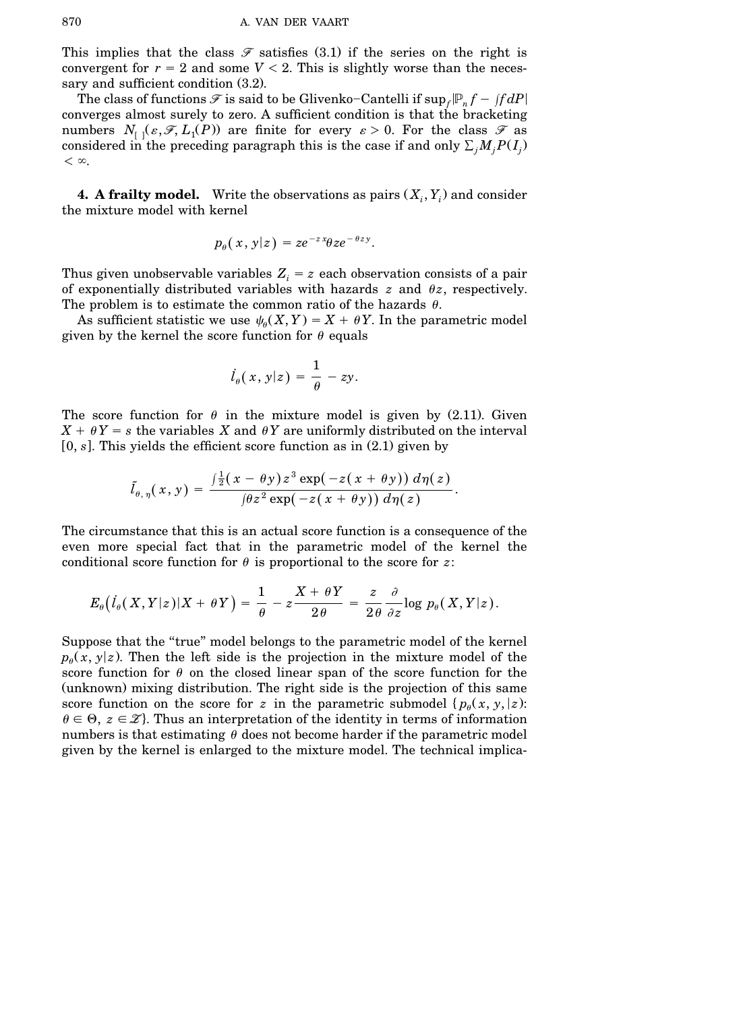This implies that the class  $\mathscr F$  satisfies (3.1) if the series on the right is convergent for  $r = 2$  and some  $V \le 2$ . This is slightly worse than the necessary and sufficient condition  $(3.2)$ .

The class of functions  $\mathscr F$  is said to be Glivenko–Cantelli if  $\sup_f\lvert \mathbb P_n f-ffdP\rvert$ converges almost surely to zero. A sufficient condition is that the bracketing numbers  $N_{[1]}(\varepsilon, \mathcal{F}, L_1(P))$  are finite for every  $\varepsilon > 0$ . For the class  $\mathcal F$  as considered in the preceding paragraph this is the case if and only  $\sum_j M_j P(I_j)$  $<$   $\infty.$ 

**4. A** frailty model. Write the observations as pairs  $(X_i, Y_i)$  and consider the mixture model with kernel

$$
p_{\theta}(x, y|z) = ze^{-zx}\theta ze^{-\theta zy}.
$$

Thus given unobservable variables  $Z_i = z$  each observation consists of a pair of exponentially distributed variables with hazards  $z$  and  $\theta z$ , respectively. The problem is to estimate the common ratio of the hazards  $\theta$ .

As sufficient statistic we use  $\psi_{\theta}(X, Y) = X + \theta Y$ . In the parametric model given by the kernel the score function for  $\theta$  equals

$$
\dot{l}_{\theta}(x,y|z) = \frac{1}{\theta} - zy.
$$

The score function for  $\theta$  in the mixture model is given by (2.11). Given  $X + \theta Y = s$  the variables *X* and  $\theta Y$  are uniformly distributed on the interval  $[0, s]$ . This yields the efficient score function as in  $(2.1)$  given by

$$
\tilde{l}_{\theta,\,\eta}(\,x,\,y)\,=\,\frac{\int \frac{1}{2}(\,x-\theta\,y\,)\,z^{\,3}\,\exp\big(\,-z(\,x+\theta\,y\,)\big)\,d\eta(\,z\,)}{\left(\theta z^{\,2}\,\exp\big(\,-z(\,x+\theta\,y\,\big)\right)\,d\eta(\,z)}\,.
$$

The circumstance that this is an actual score function is a consequence of the even more special fact that in the parametric model of the kernel the conditional score function for  $\theta$  is proportional to the score for *z*:

$$
E_{\theta}\big(\dot{I}_{\theta}(\,X, Y|z\,)|X + \theta\,Y\,\big)=\,\frac{1}{\theta}\,-z\frac{X + \theta\,Y}{2\theta}\,=\,\frac{z}{2\theta}\frac{\partial}{\partial z} {\rm log}\,\,p_{\theta}(\,X,Y|z\,).
$$

Suppose that the "true" model belongs to the parametric model of the kernel  $p_{\theta}(x, y|z)$ . Then the left side is the projection in the mixture model of the score function for  $\theta$  on the closed linear span of the score function for the (unknown) mixing distribution. The right side is the projection of this same score function on the score for *z* in the parametric submodel  $\{p_{\theta}(x, y, |z):$  $\theta \in \Theta$ ,  $z \in \mathcal{Z}$ . Thus an interpretation of the identity in terms of information numbers is that estimating  $\theta$  does not become harder if the parametric model given by the kernel is enlarged to the mixture model. The technical implica-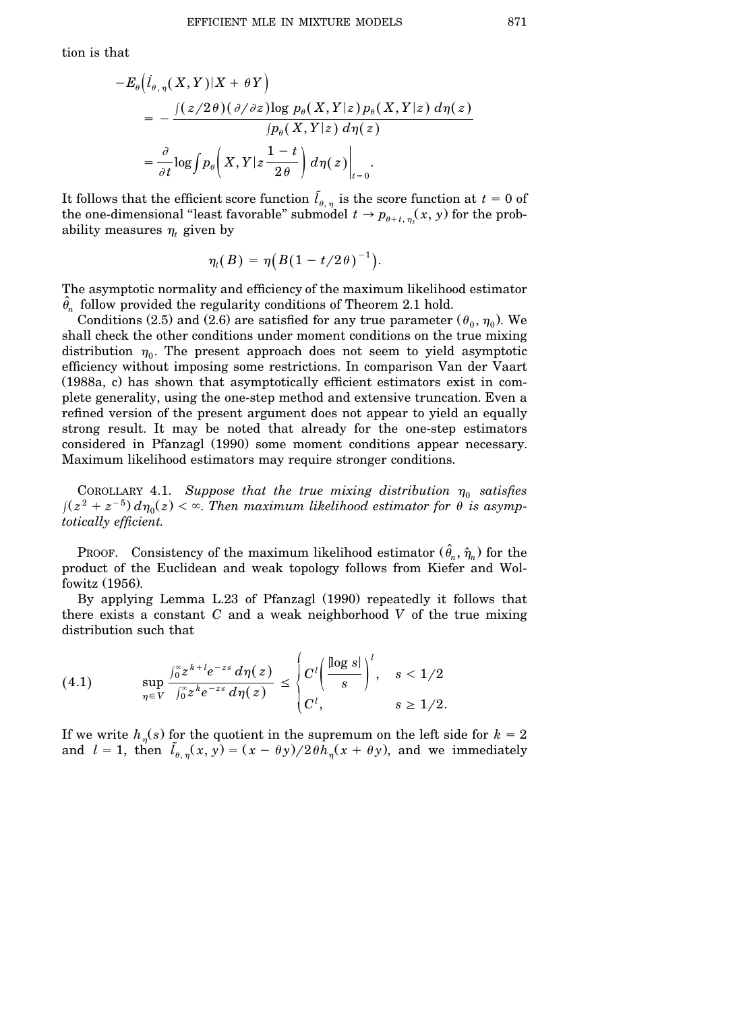$$
-E_{\theta}\left(\dot{l}_{\theta,\,\eta}(X,Y)|X+\theta Y\right)
$$
  
= 
$$
-\frac{\int (z/2\theta)(\partial/\partial z) \log p_{\theta}(X,Y|z) p_{\theta}(X,Y|z) d\eta(z)}{\int p_{\theta}(X,Y|z) d\eta(z)}
$$
  
= 
$$
\frac{\partial}{\partial t} \log \int p_{\theta}\left(X,Y|z\frac{1-t}{2\theta}\right) d\eta(z)\Big|_{t=0}.
$$

It follows that the efficient score function  $\tilde{l}_{\theta,\eta}$  is the score function at  $t = 0$  of the one-dimensional "least favorable" submodel  $t \to p_{\theta+t,\eta}(x, y)$  for the probability measures  $\eta_t$  given by

$$
\eta_t(B)=\eta\big(B(1-t/2\theta)^{-1}\big).
$$

The asymptotic normality and efficiency of the maximum likelihood estimator  $\hat{\theta}_n$  follow provided the regularity conditions of Theorem 2.1 hold.

Conditions (2.5) and (2.6) are satisfied for any true parameter  $(\theta_0, \eta_0)$ . We shall check the other conditions under moment conditions on the true mixing distribution  $\eta_0$ . The present approach does not seem to yield asymptotic efficiency without imposing some restrictions. In comparison Van der Vaart (1988a, c) has shown that asymptotically efficient estimators exist in complete generality, using the one-step method and extensive truncation. Even a refined version of the present argument does not appear to yield an equally strong result. It may be noted that already for the one-step estimators considered in Pfanzagl (1990) some moment conditions appear necessary. Maximum likelihood estimators may require stronger conditions.

COROLLARY 4.1. Suppose that the true mixing distribution  $\eta_0$  satisfies  $\int (z^2 + z^{-5}) d\eta_0(z) < \infty$ . Then maximum likelihood estimator for  $\theta$  is asymp*totically efficient*.

PROOF. Consistency of the maximum likelihood estimator  $(\hat{\theta}_n, \hat{\eta}_n)$  for the product of the Euclidean and weak topology follows from Kiefer and Wolfowitz (1956).

By applying Lemma L.23 of Pfanzagl (1990) repeatedly it follows that there exists a constant *C* and a weak neighborhood *V* of the true mixing distribution such that

$$
(4.1) \quad \sup_{\eta \in V} \frac{\int_0^{\infty} z^{k+l} e^{-zs} d\eta(z)}{\int_0^{\infty} z^k e^{-zs} d\eta(z)} \leq \begin{cases} C^l \left( \frac{|\log s|}{s} \right)^l, & s < 1/2 \\ C^l, & s \geq 1/2. \end{cases}
$$

If we write  $h_{\eta}(s)$  for the quotient in the supremum on the left side for  $k = 2$ and  $l = 1$ , then  $\tilde{l}_{\theta, \eta}(x, y) = (x - \theta y)/2 \theta \tilde{h}_{\eta}(x + \theta y)$ , and we immediately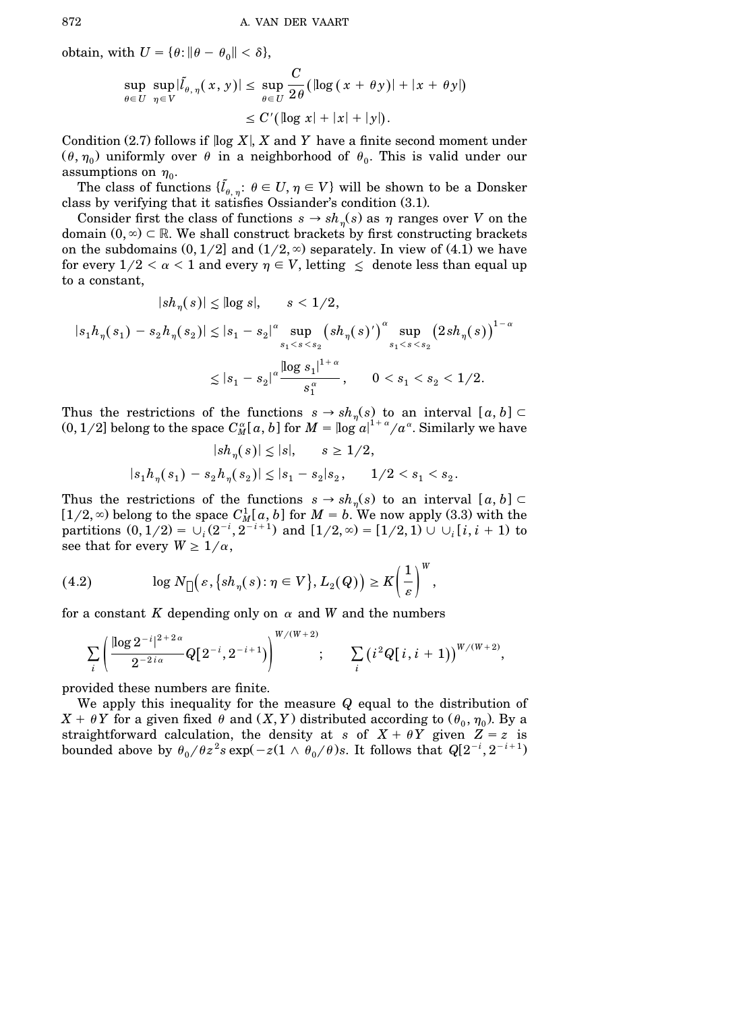obtain, with  $U = \{\theta : ||\theta - \theta_0|| < \delta\},\$ 

$$
\sup_{\theta \in U} \sup_{\eta \in V} |\tilde{l}_{\theta, \eta}(x, y)| \le \sup_{\theta \in U} \frac{C}{2\theta} (\log (x + \theta y)) + |x + \theta y|)
$$
  

$$
\le C' (\log x + |x| + |y|).
$$

Condition  $(2.7)$  follows if  $\log X$ , X and Y have a finite second moment under  $(\theta, \eta_0)$  uniformly over  $\theta$  in a neighborhood of  $\theta_0$ . This is valid under our assumptions on  $\eta_0$ .

The class of functions  $\{\tilde{l}_{\theta,\eta}: \theta \in U, \eta \in V\}$  will be shown to be a Donsker class by verifying that it satisfies Ossiander's condition  $(3.1)$ .

Consider first the class of functions  $s \to sh_{\eta}(s)$  as  $\eta$  ranges over *V* on the domain  $(0, \infty) \subset \mathbb{R}$ . We shall construct brackets by first constructing brackets on the subdomains  $(0,1/2]$  and  $(1/2,\infty)$  separately. In view of  $(4.1)$  we have for every  $1/2 < \alpha < 1$  and every  $\eta \in V$ , letting  $\leq$  denote less than equal up to a constant,

$$
|sh_{\eta}(s)| \leq |\log s|, \qquad s < 1/2,
$$

$$
|s_1 h_{\eta}(s_1) - s_2 h_{\eta}(s_2)| \le |s_1 - s_2|^{\alpha} \sup_{s_1 < s < s_2} (s h_{\eta}(s)')^{\alpha} \sup_{s_1 < s < s_2} (2s h_{\eta}(s))^{1-\alpha}
$$
  

$$
\le |s_1 - s_2|^{\alpha} \frac{\left| \log s_1 \right|^{1+\alpha}}{s_1^{\alpha}}, \qquad 0 < s_1 < s_2 < 1/2.
$$

Thus the restrictions of the functions  $s \to sh_{\eta}(s)$  to an interval  $[a, b] \subset$  $(0,1/2]$  belong to the space  $C^{\alpha}_{M}[a,b]$  for  $M=$   $\log |a|^{1+\alpha}/a^{\alpha}.$  Similarly we have

$$
|sh_{\eta}(s)|\lesssim |s|, \qquad s\geq 1/2,
$$
  

$$
|s_1h_{\eta}(s_1)-s_2h_{\eta}(s_2)|\lesssim |s_1-s_2|s_2, \qquad 1/2
$$

Thus the restrictions of the functions  $s \to sh_{\eta}(s)$  to an interval  $[a, b] \subset$  $[1/2, \infty)$  belong to the space  $C_M^1[a, b]$  for  $M = b$ . We now apply (3.3) with the partitions  $(0, 1/2) = \cup_i (2^{-i}, 2^{-i+1})$  and  $[1/2, \infty) = [1/2, 1] \cup \cup_i [i, i + 1]$  to see that for every  $W \geq 1/\alpha$ ,

(4.2) 
$$
\log N_{\Box}\big(\varepsilon,\big\{sh_{\eta}(s):\eta\in V\big\},L_2(Q)\big)\geq K\bigg(\frac{1}{\varepsilon}\bigg)^{W},
$$

for a constant  $K$  depending only on  $\alpha$  and  $W$  and the numbers

$$
\sum_i \left(\frac{[\log 2^{-i}]^{2+2\,\alpha}}{2^{-2\,i\,\alpha}} Q[\,2^{-i},2^{-i+1})\right)^{W/(W+2)}; \qquad \sum_i \left(i^{\,2} Q[\,i,i+1)\right)^{W/(W+2)},
$$

provided these numbers are finite.

We apply this inequality for the measure *Q* equal to the distribution of  $X + \theta Y$  for a given fixed  $\theta$  and  $(X, Y)$  distributed according to  $(\theta_0, \eta_0)$ . By a straightforward calculation, the density at *s* of  $X + \theta Y$  given  $Z = z$  is bounded above by  $\theta_0/\theta z^2 s \exp(-z(1 \wedge \theta_0/\theta)s)$ . It follows that  $Q[2^{-i},2^{-i+1})$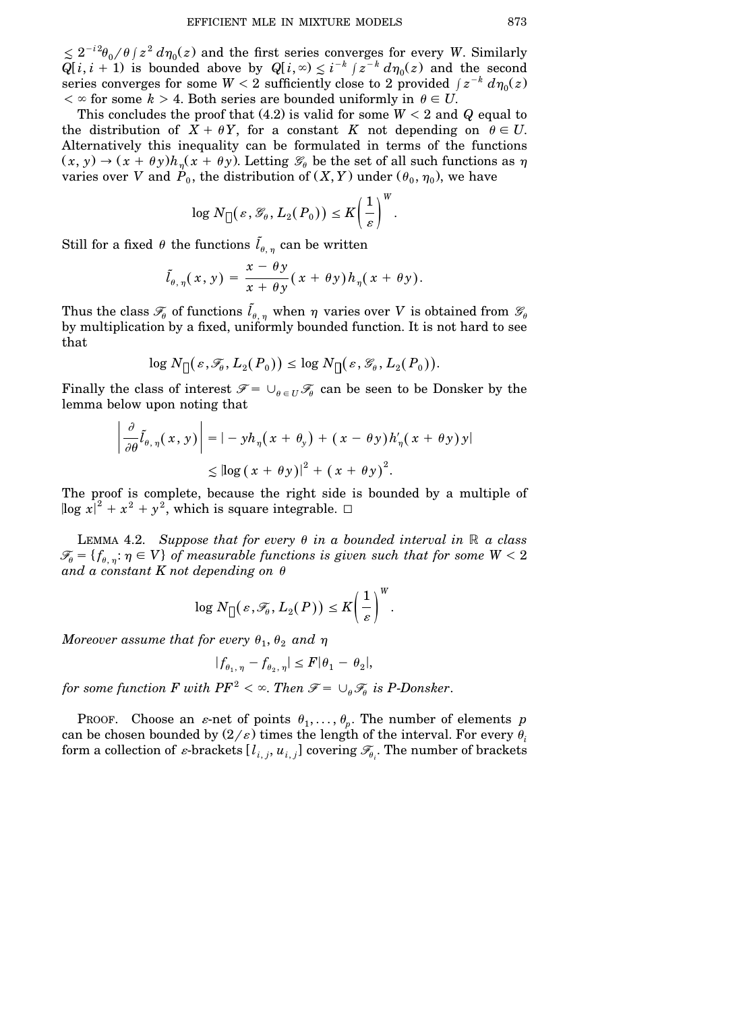$\leq 2^{-i^2}\theta_0/\theta$  /  $z^2 d\eta_0(z)$  and the first series converges for every *W*. Similarly  $Q[i, i + 1)$  is bounded above by  $Q[i, \infty) \leq i^{-k} \int_{-\infty}^{\infty} z^{-k} d\eta_0(z)$  and the second  $s$  eries converges for some  $W < 2$  sufficiently close to  $2$  provided  $\int z^{-k} d\eta_0(z)$  $\langle \infty \rangle$  for some  $k > 4$ . Both series are bounded uniformly in  $\theta \in U$ .

This concludes the proof that  $(4.2)$  is valid for some  $W < 2$  and *Q* equal to the distribution of  $X + \theta Y$ , for a constant *K* not depending on  $\theta \in U$ . Alternatively this inequality can be formulated in terms of the functions  $(x, y) \rightarrow (x + \theta y)h_{\eta}(x + \theta y)$ . Letting  $\mathcal{G}_{\theta}$  be the set of all such functions as  $\eta$ varies over  $V$  and  $\dot{P}_{0}$ , the distribution of  $(X,Y)$  under  $(\theta_{0},\eta_{0}),$  we have

$$
\log N_{\text{u}}(\varepsilon, \mathscr{G}_{\theta}, L_2(P_0)) \leq K \left(\frac{1}{\varepsilon}\right)^W.
$$

Still for a fixed  $\theta$  the functions  $\tilde{l}_{\theta, \, \eta}$  can be written

$$
\tilde{l}_{\theta,\,\eta}(\,x,\,y\,) = \frac{x-\theta\,y}{x+\theta\,y}\big(\,x+\theta\,y\big)\,h_\eta(\,x+\theta\,y\big).
$$

Thus the class  $\mathscr{F}_{\theta}$  of functions  $\tilde{l}_{\theta,\,\eta}$  when  $\eta$  varies over  $V$  is obtained from  $\mathscr{G}_{\theta}$ by multiplication by a fixed, uniformly bounded function. It is not hard to see that

$$
\log N_{\text{u}}(\varepsilon, \mathscr{F}_{\theta}, L_2(P_0)) \leq \log N_{\text{u}}(\varepsilon, \mathscr{G}_{\theta}, L_2(P_0)).
$$

Finally the class of interest  $\mathscr{F} = \cup_{\theta \in U} \mathscr{F}_\theta$  can be seen to be Donsker by the lemma below upon noting that

$$
\left| \frac{\partial}{\partial \theta} \tilde{l}_{\theta, \eta}(x, y) \right| = |-yh_{\eta}(x + \theta_y) + (x - \theta y) h'_{\eta}(x + \theta y) y|
$$
  
\$\leq \log (x + \theta y)]^2 + (x + \theta y)^2\$.

The proof is complete, because the right side is bounded by a multiple of  $\log x|^2 + x^2 + y^2$ , which is square integrable.  $\Box$ 

LEMMA 4.2. *Suppose that for every*  $\theta$  *in a bounded interval in*  $\mathbb{R}$  *a class*  $\mathscr{F}_{\theta} = \{f_{\theta, \, \eta}: \eta \in V\}$  of measurable functions is given such that for some  $W < 2$ and a constant  $K$  not depending on  $\theta$ 

$$
\log N_{\left[\right]}(\varepsilon,\mathscr{T}_{\theta},L_2(P)) \leq K \left(\frac{1}{\varepsilon}\right)^{W}.
$$

 $M$ oreover assume that for every  $\theta_1, \theta_2$  and  $\eta$ 

$$
|f_{\theta_1,\,\eta} - f_{\theta_2,\,\eta}| \le F |\theta_1 - \theta_2|,
$$

*for some function F with*  $PF^2 < \infty$ *. Then*  $\mathscr{F} = \cup_{\theta} \mathscr{F}_{\theta}$  *is P-Donsker.* 

PROOF. Choose an *ε*-net of points  $\theta_1, \ldots, \theta_p$ . The number of elements *p* can be chosen bounded by  $(2/\varepsilon)$  times the length of the interval. For every  $\theta_i$ form a collection of  $\varepsilon$ -brackets  $[l_{i,j}, u_{i,j}]$  covering  $\mathscr{F}_{\theta}$ . The number of brackets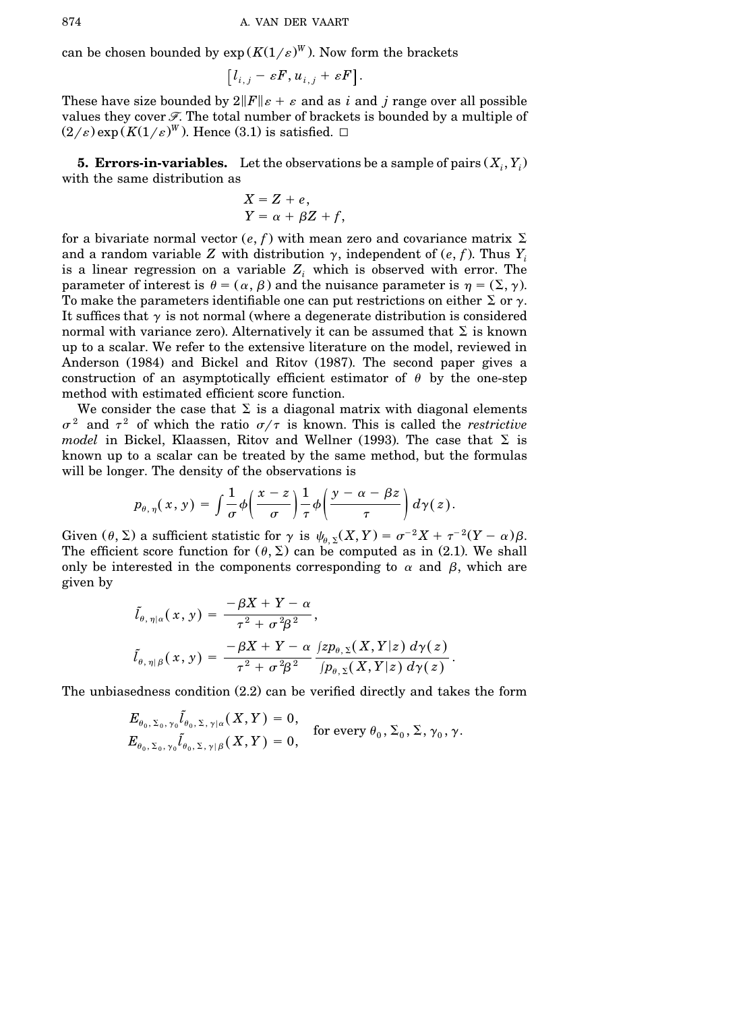can be chosen bounded by  $\exp(K(1/\varepsilon)^W)$ . Now form the brackets

$$
[l_{i,j} - \varepsilon F, u_{i,j} + \varepsilon F].
$$

These have size bounded by  $2||F||_{\varepsilon} + \varepsilon$  and as *i* and *j* range over all possible values they cover  $\mathcal F$ . The total number of brackets is bounded by a multiple of  $(2/\varepsilon)$  exp  $(K(1/\varepsilon)^W)$ . Hence  $(3.1)$  is satisfied.  $\Box$ 

**5. Errors-in-variables.** Let the observations be a sample of pairs  $(X_i, Y_i)$ with the same distribution as

$$
X = Z + e,
$$
  
 
$$
Y = \alpha + \beta Z + f,
$$

for a bivariate normal vector  $(e, f)$  with mean zero and covariance matrix  $\Sigma$ and a random variable *Z* with distribution  $\gamma$ , independent of  $(e, f)$ . Thus  $Y_i$ is a linear regression on a variable *Z<sup>i</sup>* which is observed with error. The parameter of interest is  $\theta = (\alpha, \beta)$  and the nuisance parameter is  $\eta = (\Sigma, \gamma)$ . To make the parameters identifiable one can put restrictions on either  $\Sigma$  or  $\gamma$ . It suffices that  $\gamma$  is not normal (where a degenerate distribution is considered normal with variance zero). Alternatively it can be assumed that  $\Sigma$  is known up to a scalar. We refer to the extensive literature on the model, reviewed in Anderson (1984) and Bickel and Ritov (1987). The second paper gives a construction of an asymptotically efficient estimator of  $\theta$  by the one-step method with estimated efficient score function.

We consider the case that  $\Sigma$  is a diagonal matrix with diagonal elements  $\sigma^2$  and  $\tau^2$  of which the ratio  $\sigma/\tau$  is known. This is called the *restrictive model* in Bickel, Klaassen, Ritov and Wellner (1993). The case that  $\Sigma$  is known up to a scalar can be treated by the same method, but the formulas will be longer. The density of the observations is

$$
p_{\theta,\,\eta}(\,x,\,y\,) \,=\, \int \frac{1}{\sigma}\phi\bigg(\frac{x-z}{\sigma}\bigg)\frac{1}{\tau}\phi\bigg(\frac{y-\alpha-\beta z}{\tau}\bigg)\,d\gamma(\,z\,).
$$

Given  $(\theta, \Sigma)$  a sufficient statistic for  $\gamma$  is  $\psi_{\theta, \Sigma}(X, Y) = \sigma^{-2}X + \tau^{-2}(Y - \alpha)\beta$ . The efficient score function for  $(\theta, \Sigma)$  can be computed as in (2.1). We shall only be interested in the components corresponding to  $\alpha$  and  $\beta$ , which are given by

$$
\tilde{l}_{\theta,\,\eta|\alpha}(\,x\,,\,y\,) = \frac{-\beta X + Y - \alpha}{\tau^2 + \sigma^2 \beta^2},
$$
\n
$$
\tilde{l}_{\theta,\,\eta|\beta}(\,x,\,y\,) = \frac{-\beta X + Y - \alpha}{\tau^2 + \sigma^2 \beta^2} \frac{\left(zp_{\theta,\,\Sigma}(X,Y|z)\,d\gamma(z)\right)}{\left(p_{\theta,\,\Sigma}(X,Y|z)\,d\gamma(z)\right)}.
$$

The unbiasedness condition  $(2.2)$  can be verified directly and takes the form

$$
E_{\theta_0, \Sigma_0, \gamma_0} \tilde{l}_{\theta_0, \Sigma, \gamma | \alpha} (X, Y) = 0,
$$
  
\n
$$
E_{\theta_0, \Sigma_0, \gamma_0} \tilde{l}_{\theta_0, \Sigma, \gamma | \beta} (X, Y) = 0,
$$
 for every  $\theta_0, \Sigma_0, \Sigma, \gamma_0, \gamma$ .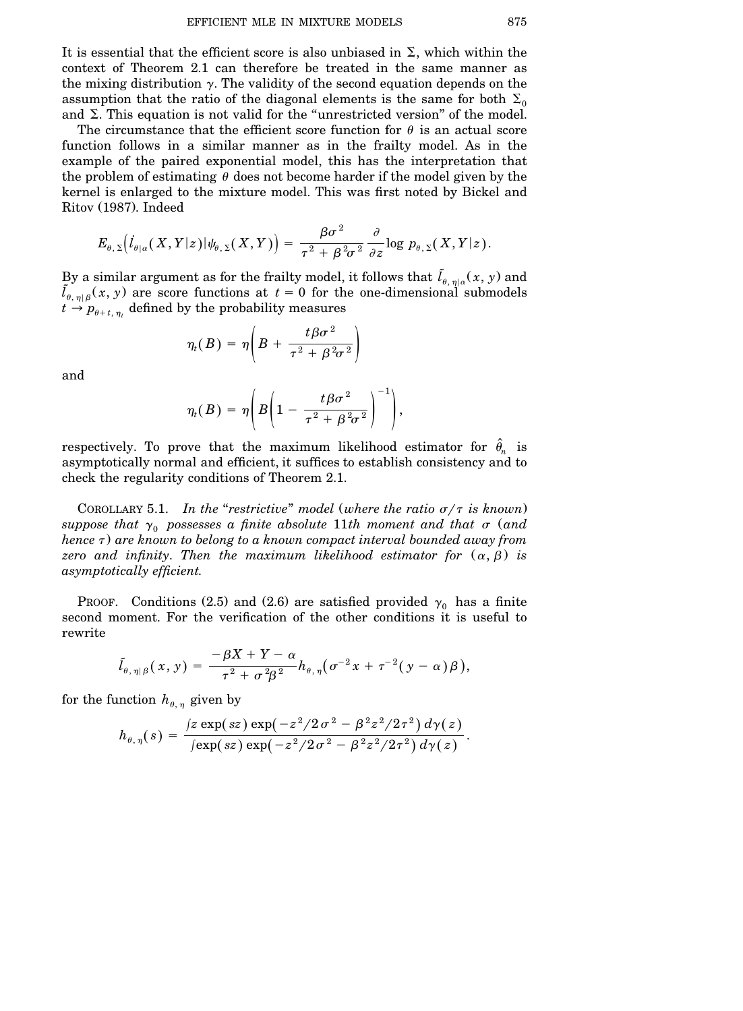It is essential that the efficient score is also unbiased in  $\Sigma$ , which within the context of Theorem 2.1 can therefore be treated in the same manner as the mixing distribution  $\gamma$ . The validity of the second equation depends on the assumption that the ratio of the diagonal elements is the same for both  $\Sigma_0$ and  $\Sigma$ . This equation is not valid for the "unrestricted version" of the model.

The circumstance that the efficient score function for  $\theta$  is an actual score function follows in a similar manner as in the frailty model. As in the example of the paired exponential model, this has the interpretation that the problem of estimating  $\theta$  does not become harder if the model given by the kernel is enlarged to the mixture model. This was first noted by Bickel and Ritov (1987). Indeed

$$
E_{\theta,\,\Sigma}\big( \dot{I}_{\theta|\alpha}(X,Y|z) | \psi_{\theta,\,\Sigma}(X,Y) \big) = \frac{\beta \sigma^2}{\tau^2 + \beta^2 \sigma^2} \frac{\partial}{\partial z} {\rm log} \ p_{\theta,\,\Sigma}(X,Y|z) \,.
$$

By a similar argument as for the frailty model, it follows that  $\tilde{l}_{\theta,\,\eta| \alpha}(x,\,y)$  and  $\tilde{l}_{\theta,\eta|\beta}(x, y)$  are score functions at  $t = 0$  for the one-dimensional submodels  $t \rightarrow p_{\theta+t,\eta_t}$  defined by the probability measures

$$
\eta_t(B) = \eta \bigg( B + \frac{t \beta \sigma^2}{\tau^2 + \beta^2 \sigma^2} \bigg)
$$

and

$$
\eta_t(B)=\eta\Bigg(B\Bigg(1-\frac{t\beta\sigma^2}{\tau^2+\beta^2\sigma^2}\Bigg)^{-1}\Bigg),\,
$$

respectively. To prove that the maximum likelihood estimator for  $\hat{\theta}_n$  is asymptotically normal and efficient, it suffices to establish consistency and to check the regularity conditions of Theorem 2.1.

COROLLARY 5.1. *In the "restrictive" model* (where the ratio  $\sigma/\tau$  is known) *suppose that*  $\gamma_0$  *possesses a finite absolute* 11*th moment and that*  $\sigma$  *(and*  $h$ ence  $\tau$ ) are known to belong to a known compact interval bounded away from *zero* and *infinity*. Then the maximum likelihood estimator for  $(\alpha, \beta)$  is *asymptotically efficient*.

PROOF. Conditions (2.5) and (2.6) are satisfied provided  $\gamma_0$  has a finite second moment. For the verification of the other conditions it is useful to rewrite

$$
\tilde{l}_{\theta,\,\eta|\,\beta}(\,x,\,y\,)=\frac{-\beta X+Y-\alpha}{\tau^2+\sigma^2\beta^{\,2}}h_{\theta,\,\eta}\big(\sigma^{-2}x+\tau^{-2}(\,y-\alpha)\,\beta\,\big),
$$

for the function  $h_{\theta,\eta}$  given by

$$
h_{\theta,\,\eta}(\,s\,) \,=\, \frac{\,(z\, \exp(\,sz\,)\, \exp\bigl(\,-z^2/2\,\sigma^2\,-\,\beta^{\,2} z^2/2\,\tau^2\,\bigr)\,d\gamma(\,z\,)}{\,(\exp\bigl(\,sz\,\bigr)\, \exp\bigl(\,-z^2/2\,\sigma^2\,-\,\beta^{\,2} z^2/2\,\tau^2\,\bigr)\,d\gamma(\,z\,)}\,.
$$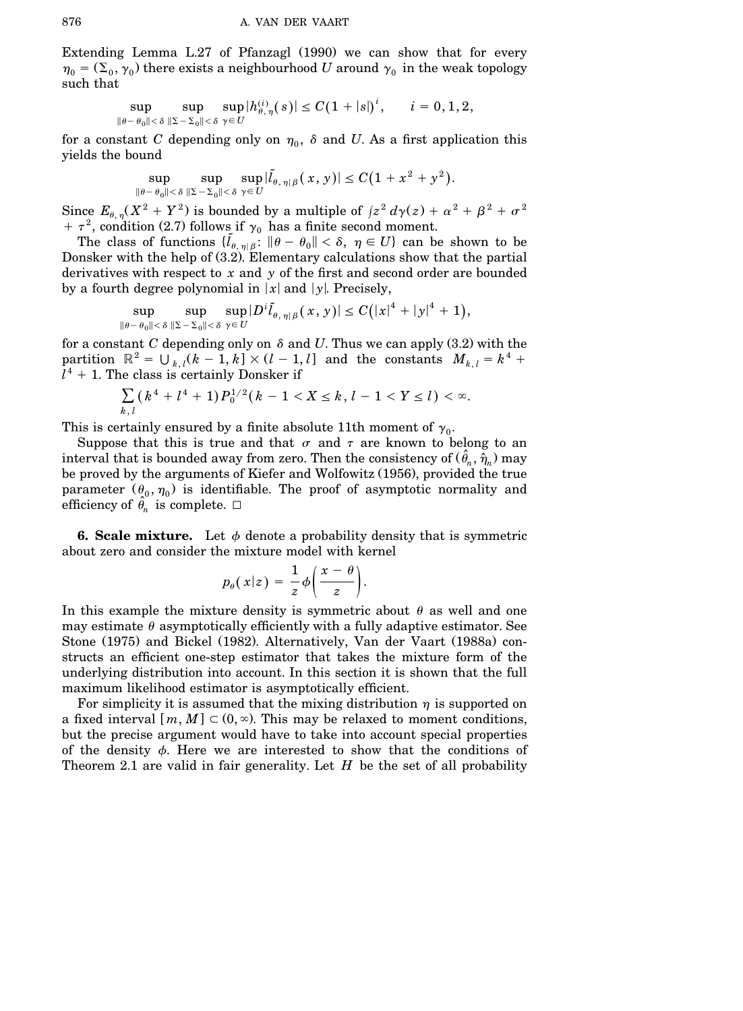Extending Lemma  $L.27$  of Pfanzagl  $(1990)$  we can show that for every  $\eta_0 = (\Sigma_0, \gamma_0)$  there exists a neighbourhood *U* around  $\gamma_0$  in the weak topology such that

$$
\sup_{\|\theta-\theta_0\|<\delta}\sup_{\|\Sigma-\Sigma_0\|<\delta}\sup_{\gamma\in U}|h^{(i)}_{\theta,\,\eta}(s)|\leq C(1+|s|)^i,\qquad i=0,1,2,
$$

for a constant *C* depending only on  $\eta_0$ ,  $\delta$  and *U*. As a first application this yields the bound

$$
\sup_{\|\theta-\theta_0\|<\delta}\sup_{\|\Sigma-\Sigma_0\|<\delta}\sup_{\gamma\in U}|\tilde{l}_{\theta,\,\eta\,|\,\beta}(\,x,\,y\,)|\le C\big(1+\,x^{\,2}+\,y^{\,2}\big).
$$

Since  $E_{\theta, \eta} (X^2 + Y^2)$  is bounded by a multiple of  $\int z^2 d\gamma(z) + \alpha^2 + \beta^2 + \sigma^2$  $+ \tau^2$ , condition (2.7) follows if  $\gamma_0$  has a finite second moment.

The class of functions  $\{ \tilde{l}_{\theta, \eta} | \tilde{\beta} : ||\theta - \theta_0|| < \delta, \eta \in U \}$  can be shown to be Donsker with the help of  $(3.2)$ . Elementary calculations show that the partial derivatives with respect to *x* and *y* of the first and second order are bounded by a fourth degree polynomial in  $|x|$  and  $|y|$ . Precisely,

$$
\sup_{\|\theta-\theta_0\|<\delta}\sup_{\|\Sigma-\Sigma_0\|<\delta}\sup_{\gamma\in U}|D^i\tilde{l}_{\theta,\,\eta\,|\,\beta}(\,x,\,y\,)|\le C\big(|x|^4+|y|^4+1\big),
$$

for a constant  $C$  depending only on  $\delta$  and  $U$ . Thus we can apply  $(3.2)$  with the partition  $\mathbb{R}^2 = \bigcup_{k,l} (k-1,k] \times (l-1,l)$  and the constants  $M_{k,l} = k^4 + k^4$  $l^4$  + 1. The class is certainly Donsker if

$$
\sum_{k,l} (k^4 + l^4 + 1) P_0^{1/2} (k - 1 < X \le k, l - 1 < Y \le l) < \infty.
$$

This is certainly ensured by a finite absolute 11th moment of  $\gamma_0$ .

Suppose that this is true and that  $\sigma$  and  $\tau$  are known to belong to an interval that is bounded away from zero. Then the consistency of  $(\hat{\theta}_n, \hat{\eta}_n)$  may be proved by the arguments of Kiefer and Wolfowitz (1956), provided the true parameter  $(\theta_0, \eta_0)$  is identifiable. The proof of asymptotic normality and efficiency of  $\hat{\theta}_n$  is complete.  $\Box$ 

**6. Scale mixture.** Let  $\phi$  denote a probability density that is symmetric about zero and consider the mixture model with kernel

$$
p_{\theta}(x|z) = \frac{1}{z}\phi\bigg(\frac{x-\theta}{z}\bigg).
$$

In this example the mixture density is symmetric about  $\theta$  as well and one may estimate  $\theta$  asymptotically efficiently with a fully adaptive estimator. See Stone (1975) and Bickel (1982). Alternatively, Van der Vaart (1988a) constructs an efficient one-step estimator that takes the mixture form of the underlying distribution into account. In this section it is shown that the full maximum likelihood estimator is asymptotically efficient.

For simplicity it is assumed that the mixing distribution  $\eta$  is supported on a fixed interval  $[m, M] \subset (0, \infty)$ . This may be relaxed to moment conditions, but the precise argument would have to take into account special properties of the density  $\phi$ . Here we are interested to show that the conditions of Theorem 2.1 are valid in fair generality. Let *H* be the set of all probability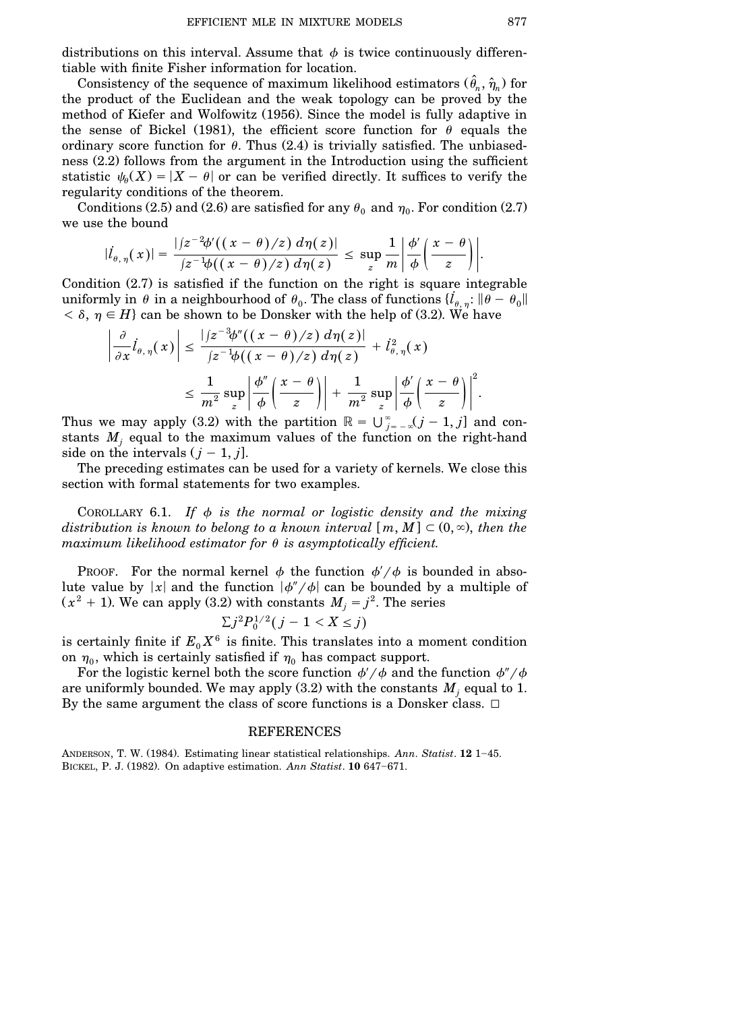distributions on this interval. Assume that  $\phi$  is twice continuously differentiable with finite Fisher information for location.

Consistency of the sequence of maximum likelihood estimators  $(\hat{\theta}_n, \hat{\eta}_n)$  for the product of the Euclidean and the weak topology can be proved by the method of Kiefer and Wolfowitz (1956). Since the model is fully adaptive in the sense of Bickel (1981), the efficient score function for  $\theta$  equals the ordinary score function for  $\theta$ . Thus  $(2.4)$  is trivially satisfied. The unbiasedness  $(2.2)$  follows from the argument in the Introduction using the sufficient statistic  $\psi_{\theta}(X) = |X - \theta|$  or can be verified directly. It suffices to verify the regularity conditions of the theorem.

Conditions (2.5) and (2.6) are satisfied for any  $\theta_0$  and  $\eta_0$ . For condition (2.7) we use the bound

$$
|l_{\theta,\eta}(x)|=\frac{|jz^{-2}\phi'((x-\theta)/z) d\eta(z)|}{|z^{-1}\phi((x-\theta)/z) d\eta(z)}\leq \sup_{z}\frac{1}{m}\left|\frac{\phi'}{\phi}\left(\frac{x-\theta}{z}\right)\right|.
$$

Condition  $(2.7)$  is satisfied if the function on the right is square integrable uniformly in  $\theta$  in a neighbourhood of  $\theta_0$ . The class of functions  $\{l_{\theta,\eta}: \|\theta-\theta_0\|$  $< \delta, \eta \in H$  can be shown to be Donsker with the help of (3.2). We have

$$
\frac{\partial}{\partial x}\dot{l}_{\theta,\,\eta}(x)\Big| \leq \frac{|z^{-3}\phi''((x-\theta)/z) d\eta(z)|}{|z^{-1}\phi((x-\theta)/z) d\eta(z)} + \dot{l}_{\theta,\,\eta}^2(x)
$$

$$
\leq \frac{1}{m^2}\sup_{z}\left|\frac{\phi''}{\phi}\left(\frac{x-\theta}{z}\right)\right| + \frac{1}{m^2}\sup_{z}\left|\frac{\phi'}{\phi}\left(\frac{x-\theta}{z}\right)\right|^2.
$$

Thus we may apply (3.2) with the partition  $\mathbb{R} = \bigcup_{j=-\infty}^{\infty} (j-1, j]$  and constants  $M_i$  equal to the maximum values of the function on the right-hand side on the intervals  $(j - 1, j]$ .

The preceding estimates can be used for a variety of kernels. We close this section with formal statements for two examples.

COROLLARY 6.1. If  $\phi$  *is the normal or logistic density and the mixing distribution* is known to belong to a known interval  $[m, M] \subset (0, \infty)$ , then the  $maximum$  *likelihood estimator for*  $\theta$  *is asymptotically efficient.* 

PROOF. For the normal kernel  $\phi$  the function  $\phi'/\phi$  is bounded in absolute value by  $|x|$  and the function  $|\phi''/\phi|$  can be bounded by a multiple of  $(x^2 + 1)$ . We can apply (3.2) with constants  $M_j = j^2$ . The series

$$
\sum j^2 P_0^{1/2} (j-1 < X \le j)
$$

is certainly finite if  $E_0 X^6$  is finite. This translates into a moment condition on  $\eta_0$ , which is certainly satisfied if  $\eta_0$  has compact support.

For the logistic kernel both the score function  $\phi'/\phi$  and the function  $\phi''/\phi$ are uniformly bounded. We may apply  $(3.2)$  with the constants  $M_j$  equal to 1. By the same argument the class of score functions is a Donsker class.  $\Box$ 

## REFERENCES

ANDERSON, T. W. (1984). Estimating linear statistical relationships. *Ann. Statist*. **12** 1–45. BICKEL, P. J. (1982). On adaptive estimation. *Ann Statist*. **10** 647-671.